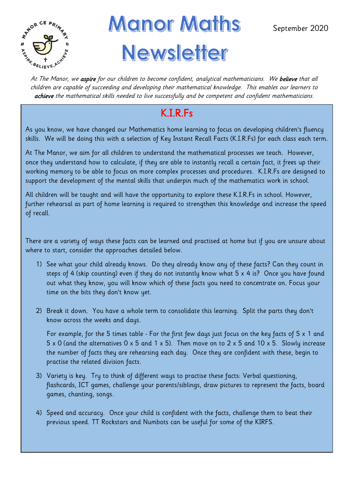

# **Manor Maths** At The Manor, we aspire for our children to become confident, analytical mathematicians. We believe that all **Newsletter**

children are capable of succeeding and developing their mathematical knowledge. This enables our learners to achieve the mathematical skills needed to live successfully and be competent and confident mathematicians.

## K.I.R.Fs

As you know, we have changed our Mathematics home learning to focus on developing children's fluency skills. We will be doing this with a selection of Key Instant Recall Facts (K.I.R.Fs) for each class each term.

At The Manor, we aim for all children to understand the mathematical processes we teach. However, once they understand how to calculate, if they are able to instantly recall a certain fact, it frees up their working memory to be able to focus on more complex processes and procedures. K.I.R.Fs are designed to support the development of the mental skills that underpin much of the mathematics work in school.

All children will be taught and will have the opportunity to explore these K.I.R.Fs in school. However, further rehearsal as part of home learning is required to strengthen this knowledge and increase the speed of recall.

There are a variety of ways these facts can be learned and practised at home but if you are unsure about where to start, consider the approaches detailed below.

- 1) See what your child already knows. Do they already know any of these facts? Can they count in steps of 4 (skip counting) even if they do not instantly know what 5 x 4 is? Once you have found out what they know, you will know which of these facts you need to concentrate on. Focus your time on the bits they don't know yet.
- 2) Break it down. You have a whole term to consolidate this learning. Split the parts they don't know across the weeks and days.

For example, for the 5 times table - For the first few days just focus on the key facts of 5 x 1 and 5 x 0 (and the alternatives 0 x 5 and 1 x 5). Then move on to 2 x 5 and 10 x 5. Slowly increase the number of facts they are rehearsing each day. Once they are confident with these, begin to practise the related division facts.

- 3) Variety is key. Try to think of different ways to practise these facts: Verbal questioning, flashcards, ICT games, challenge your parents/siblings, draw pictures to represent the facts, board games, chanting, songs.
- 4) Speed and accuracy. Once your child is confident with the facts, challenge them to beat their previous speed. TT Rockstars and Numbots can be useful for some of the KIRFS.